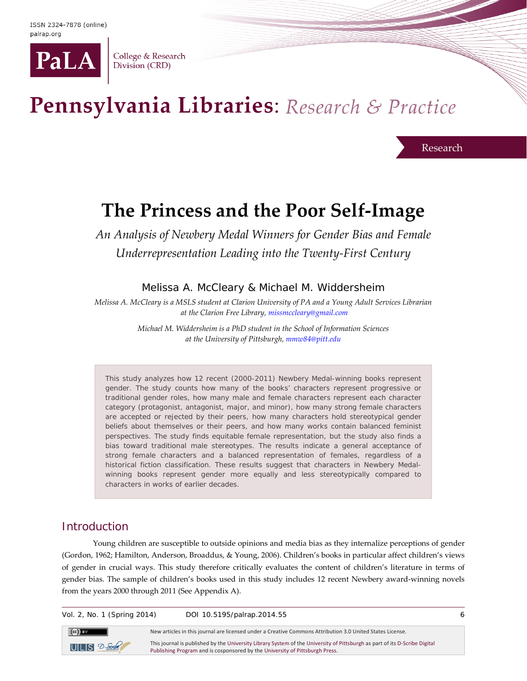

College & Research Division (CRD)

# Pennsylvania Libraries: Research & Practice

Research

# **The Princess and the Poor Self-Image**

*An Analysis of Newbery Medal Winners for Gender Bias and Female Underrepresentation Leading into the Twenty-First Century*

Melissa A. McCleary & Michael M. Widdersheim

*Melissa A. McCleary is a MSLS student at Clarion University of PA and a Young Adult Services Librarian at the Clarion Free Library, [missmccleary@gmail.com](mailto:missmccleary@gmail.com)*

> *Michael M. Widdersheim is a PhD student in the School of Information Sciences at the University of Pittsburgh[, mmw84@pitt.edu](mailto:mmw84@pitt.edu)*

This study analyzes how 12 recent (2000-2011) Newbery Medal-winning books represent gender. The study counts how many of the books' characters represent progressive or traditional gender roles, how many male and female characters represent each character category (protagonist, antagonist, major, and minor), how many strong female characters are accepted or rejected by their peers, how many characters hold stereotypical gender beliefs about themselves or their peers, and how many works contain balanced feminist perspectives. The study finds equitable female representation, but the study also finds a bias toward traditional male stereotypes. The results indicate a general acceptance of strong female characters and a balanced representation of females, regardless of a historical fiction classification. These results suggest that characters in Newbery Medalwinning books represent gender more equally and less stereotypically compared to characters in works of earlier decades.

# **Introduction**

Young children are susceptible to outside opinions and media bias as they internalize perceptions of gender (Gordon, 1962; Hamilton, Anderson, Broaddus, & Young, 2006). Children's books in particular affect children's views of gender in crucial ways. This study therefore critically evaluates the content of children's literature in terms of gender bias. The sample of children's books used in this study includes 12 recent Newbery award-winning novels from the years 2000 through 2011 (See Appendix A).

Vol. 2, No. 1 (Spring 2014) DOI 10.5195/palrap.2014.55 6  $\left(\mathrm{cc}\right)$  BY New articles in this journal are licensed under a Creative Commons Attribution 3.0 United States License. This journal is published by th[e University Library System](http://www.library.pitt.edu/) of th[e University of Pittsburgh](http://www.pitt.edu/) as part of it[s D-Scribe Digital](http://www.library.pitt.edu/uls-e-journal-publishing)   $UILS 2-<sub>Schbe</sub>$ [Publishing Program](http://www.library.pitt.edu/uls-e-journal-publishing) and is cosponsored by th[e University of Pittsburgh Press.](http://upress.pitt.edu/)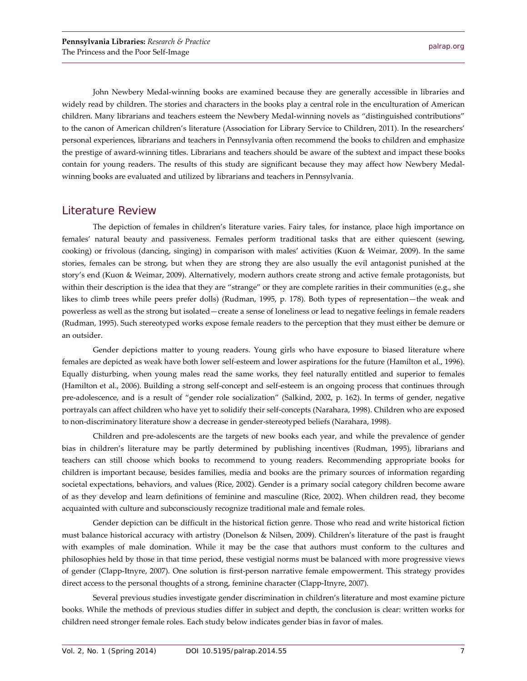John Newbery Medal-winning books are examined because they are generally accessible in libraries and widely read by children. The stories and characters in the books play a central role in the enculturation of American children. Many librarians and teachers esteem the Newbery Medal-winning novels as "distinguished contributions" to the canon of American children's literature (Association for Library Service to Children, 2011). In the researchers' personal experiences, librarians and teachers in Pennsylvania often recommend the books to children and emphasize the prestige of award-winning titles. Librarians and teachers should be aware of the subtext and impact these books contain for young readers. The results of this study are significant because they may affect how Newbery Medalwinning books are evaluated and utilized by librarians and teachers in Pennsylvania.

### Literature Review

The depiction of females in children's literature varies. Fairy tales, for instance, place high importance on females' natural beauty and passiveness. Females perform traditional tasks that are either quiescent (sewing, cooking) or frivolous (dancing, singing) in comparison with males' activities (Kuon & Weimar, 2009). In the same stories, females can be strong, but when they are strong they are also usually the evil antagonist punished at the story's end (Kuon & Weimar, 2009). Alternatively, modern authors create strong and active female protagonists, but within their description is the idea that they are "strange" or they are complete rarities in their communities (e.g., she likes to climb trees while peers prefer dolls) (Rudman, 1995, p. 178). Both types of representation—the weak and powerless as well as the strong but isolated—create a sense of loneliness or lead to negative feelings in female readers (Rudman, 1995). Such stereotyped works expose female readers to the perception that they must either be demure or an outsider.

Gender depictions matter to young readers. Young girls who have exposure to biased literature where females are depicted as weak have both lower self-esteem and lower aspirations for the future (Hamilton et al., 1996). Equally disturbing, when young males read the same works, they feel naturally entitled and superior to females (Hamilton et al., 2006). Building a strong self-concept and self-esteem is an ongoing process that continues through pre-adolescence, and is a result of "gender role socialization" (Salkind, 2002, p. 162). In terms of gender, negative portrayals can affect children who have yet to solidify their self-concepts (Narahara, 1998). Children who are exposed to non-discriminatory literature show a decrease in gender-stereotyped beliefs (Narahara, 1998).

Children and pre-adolescents are the targets of new books each year, and while the prevalence of gender bias in children's literature may be partly determined by publishing incentives (Rudman, 1995), librarians and teachers can still choose which books to recommend to young readers. Recommending appropriate books for children is important because, besides families, media and books are the primary sources of information regarding societal expectations, behaviors, and values (Rice, 2002). Gender is a primary social category children become aware of as they develop and learn definitions of feminine and masculine (Rice, 2002). When children read, they become acquainted with culture and subconsciously recognize traditional male and female roles.

Gender depiction can be difficult in the historical fiction genre. Those who read and write historical fiction must balance historical accuracy with artistry (Donelson & Nilsen, 2009). Children's literature of the past is fraught with examples of male domination. While it may be the case that authors must conform to the cultures and philosophies held by those in that time period, these vestigial norms must be balanced with more progressive views of gender (Clapp-Itnyre, 2007). One solution is first-person narrative female empowerment. This strategy provides direct access to the personal thoughts of a strong, feminine character (Clapp-Itnyre, 2007).

Several previous studies investigate gender discrimination in children's literature and most examine picture books. While the methods of previous studies differ in subject and depth, the conclusion is clear: written works for children need stronger female roles. Each study below indicates gender bias in favor of males.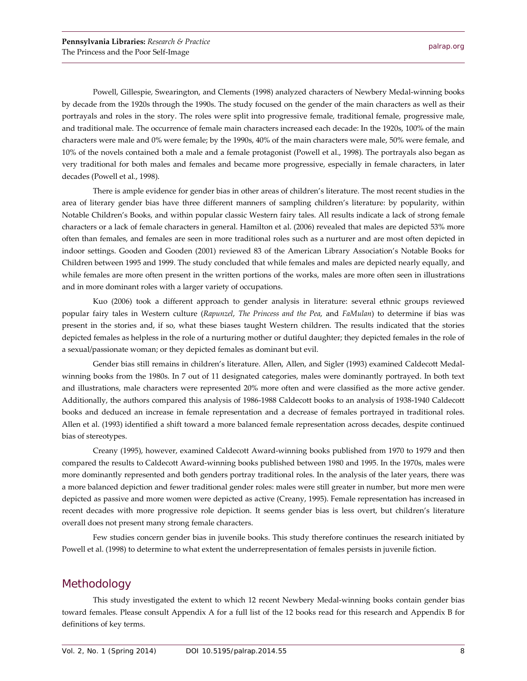Powell, Gillespie, Swearington, and Clements (1998) analyzed characters of Newbery Medal-winning books by decade from the 1920s through the 1990s. The study focused on the gender of the main characters as well as their portrayals and roles in the story. The roles were split into progressive female, traditional female, progressive male, and traditional male. The occurrence of female main characters increased each decade: In the 1920s, 100% of the main characters were male and 0% were female; by the 1990s, 40% of the main characters were male, 50% were female, and 10% of the novels contained both a male and a female protagonist (Powell et al., 1998). The portrayals also began as very traditional for both males and females and became more progressive, especially in female characters, in later decades (Powell et al., 1998).

There is ample evidence for gender bias in other areas of children's literature. The most recent studies in the area of literary gender bias have three different manners of sampling children's literature: by popularity, within Notable Children's Books, and within popular classic Western fairy tales. All results indicate a lack of strong female characters or a lack of female characters in general. Hamilton et al. (2006) revealed that males are depicted 53% more often than females, and females are seen in more traditional roles such as a nurturer and are most often depicted in indoor settings. Gooden and Gooden (2001) reviewed 83 of the American Library Association's Notable Books for Children between 1995 and 1999. The study concluded that while females and males are depicted nearly equally, and while females are more often present in the written portions of the works, males are more often seen in illustrations and in more dominant roles with a larger variety of occupations.

Kuo (2006) took a different approach to gender analysis in literature: several ethnic groups reviewed popular fairy tales in Western culture (*Rapunzel*, *The Princess and the Pea*, and *FaMulan*) to determine if bias was present in the stories and, if so, what these biases taught Western children. The results indicated that the stories depicted females as helpless in the role of a nurturing mother or dutiful daughter; they depicted females in the role of a sexual/passionate woman; or they depicted females as dominant but evil.

Gender bias still remains in children's literature. Allen, Allen, and Sigler (1993) examined Caldecott Medalwinning books from the 1980s. In 7 out of 11 designated categories, males were dominantly portrayed. In both text and illustrations, male characters were represented 20% more often and were classified as the more active gender. Additionally, the authors compared this analysis of 1986-1988 Caldecott books to an analysis of 1938-1940 Caldecott books and deduced an increase in female representation and a decrease of females portrayed in traditional roles. Allen et al. (1993) identified a shift toward a more balanced female representation across decades, despite continued bias of stereotypes.

Creany (1995), however, examined Caldecott Award-winning books published from 1970 to 1979 and then compared the results to Caldecott Award-winning books published between 1980 and 1995. In the 1970s, males were more dominantly represented and both genders portray traditional roles. In the analysis of the later years, there was a more balanced depiction and fewer traditional gender roles: males were still greater in number, but more men were depicted as passive and more women were depicted as active (Creany, 1995). Female representation has increased in recent decades with more progressive role depiction. It seems gender bias is less overt, but children's literature overall does not present many strong female characters.

Few studies concern gender bias in juvenile books. This study therefore continues the research initiated by Powell et al. (1998) to determine to what extent the underrepresentation of females persists in juvenile fiction.

## Methodology

This study investigated the extent to which 12 recent Newbery Medal-winning books contain gender bias toward females. Please consult Appendix A for a full list of the 12 books read for this research and Appendix B for definitions of key terms.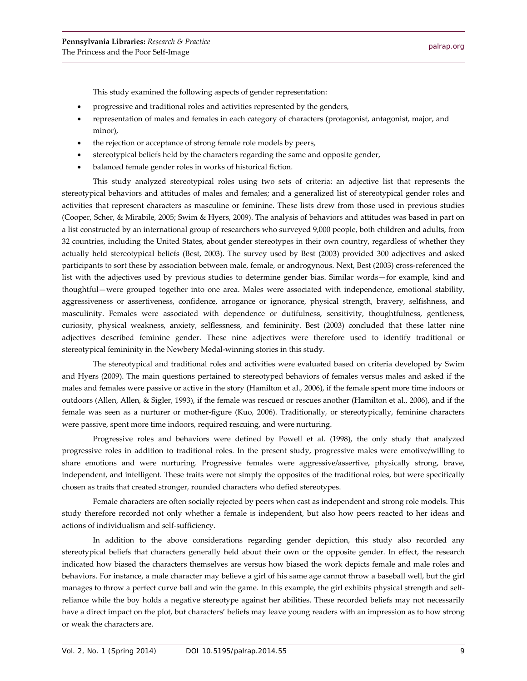This study examined the following aspects of gender representation:

- progressive and traditional roles and activities represented by the genders,
- representation of males and females in each category of characters (protagonist, antagonist, major, and minor),
- the rejection or acceptance of strong female role models by peers,
- stereotypical beliefs held by the characters regarding the same and opposite gender,
- balanced female gender roles in works of historical fiction.

This study analyzed stereotypical roles using two sets of criteria: an adjective list that represents the stereotypical behaviors and attitudes of males and females; and a generalized list of stereotypical gender roles and activities that represent characters as masculine or feminine. These lists drew from those used in previous studies (Cooper, Scher, & Mirabile, 2005; Swim & Hyers, 2009). The analysis of behaviors and attitudes was based in part on a list constructed by an international group of researchers who surveyed 9,000 people, both children and adults, from 32 countries, including the United States, about gender stereotypes in their own country, regardless of whether they actually held stereotypical beliefs (Best, 2003). The survey used by Best (2003) provided 300 adjectives and asked participants to sort these by association between male, female, or androgynous. Next, Best (2003) cross-referenced the list with the adjectives used by previous studies to determine gender bias. Similar words—for example, kind and thoughtful—were grouped together into one area. Males were associated with independence, emotional stability, aggressiveness or assertiveness, confidence, arrogance or ignorance, physical strength, bravery, selfishness, and masculinity. Females were associated with dependence or dutifulness, sensitivity, thoughtfulness, gentleness, curiosity, physical weakness, anxiety, selflessness, and femininity. Best (2003) concluded that these latter nine adjectives described feminine gender. These nine adjectives were therefore used to identify traditional or stereotypical femininity in the Newbery Medal-winning stories in this study.

The stereotypical and traditional roles and activities were evaluated based on criteria developed by Swim and Hyers (2009). The main questions pertained to stereotyped behaviors of females versus males and asked if the males and females were passive or active in the story (Hamilton et al., 2006), if the female spent more time indoors or outdoors (Allen, Allen, & Sigler, 1993), if the female was rescued or rescues another (Hamilton et al., 2006), and if the female was seen as a nurturer or mother-figure (Kuo, 2006). Traditionally, or stereotypically, feminine characters were passive, spent more time indoors, required rescuing, and were nurturing.

Progressive roles and behaviors were defined by Powell et al. (1998), the only study that analyzed progressive roles in addition to traditional roles. In the present study, progressive males were emotive/willing to share emotions and were nurturing. Progressive females were aggressive/assertive, physically strong, brave, independent, and intelligent. These traits were not simply the opposites of the traditional roles, but were specifically chosen as traits that created stronger, rounded characters who defied stereotypes.

Female characters are often socially rejected by peers when cast as independent and strong role models. This study therefore recorded not only whether a female is independent, but also how peers reacted to her ideas and actions of individualism and self-sufficiency.

In addition to the above considerations regarding gender depiction, this study also recorded any stereotypical beliefs that characters generally held about their own or the opposite gender. In effect, the research indicated how biased the characters themselves are versus how biased the work depicts female and male roles and behaviors. For instance, a male character may believe a girl of his same age cannot throw a baseball well, but the girl manages to throw a perfect curve ball and win the game. In this example, the girl exhibits physical strength and selfreliance while the boy holds a negative stereotype against her abilities. These recorded beliefs may not necessarily have a direct impact on the plot, but characters' beliefs may leave young readers with an impression as to how strong or weak the characters are.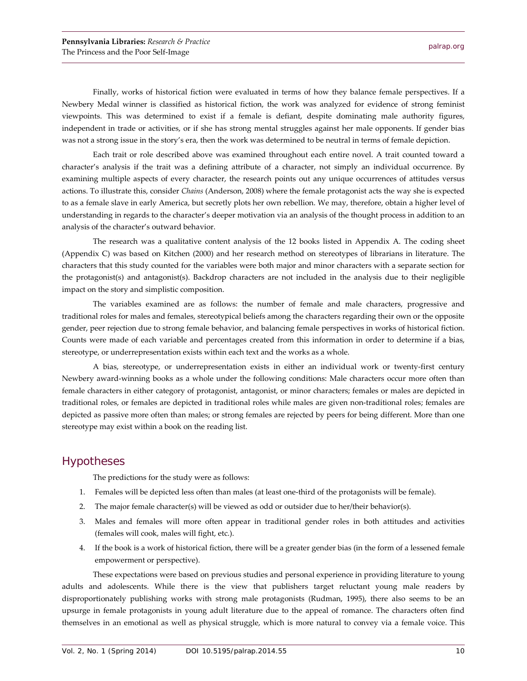Finally, works of historical fiction were evaluated in terms of how they balance female perspectives. If a Newbery Medal winner is classified as historical fiction, the work was analyzed for evidence of strong feminist viewpoints. This was determined to exist if a female is defiant, despite dominating male authority figures, independent in trade or activities, or if she has strong mental struggles against her male opponents. If gender bias was not a strong issue in the story's era, then the work was determined to be neutral in terms of female depiction.

Each trait or role described above was examined throughout each entire novel. A trait counted toward a character's analysis if the trait was a defining attribute of a character, not simply an individual occurrence. By examining multiple aspects of every character, the research points out any unique occurrences of attitudes versus actions. To illustrate this, consider *Chains* (Anderson, 2008) where the female protagonist acts the way she is expected to as a female slave in early America, but secretly plots her own rebellion. We may, therefore, obtain a higher level of understanding in regards to the character's deeper motivation via an analysis of the thought process in addition to an analysis of the character's outward behavior.

The research was a qualitative content analysis of the 12 books listed in Appendix A. The coding sheet (Appendix C) was based on Kitchen (2000) and her research method on stereotypes of librarians in literature. The characters that this study counted for the variables were both major and minor characters with a separate section for the protagonist(s) and antagonist(s). Backdrop characters are not included in the analysis due to their negligible impact on the story and simplistic composition.

The variables examined are as follows: the number of female and male characters, progressive and traditional roles for males and females, stereotypical beliefs among the characters regarding their own or the opposite gender, peer rejection due to strong female behavior, and balancing female perspectives in works of historical fiction. Counts were made of each variable and percentages created from this information in order to determine if a bias, stereotype, or underrepresentation exists within each text and the works as a whole.

A bias, stereotype, or underrepresentation exists in either an individual work or twenty-first century Newbery award-winning books as a whole under the following conditions: Male characters occur more often than female characters in either category of protagonist, antagonist, or minor characters; females or males are depicted in traditional roles, or females are depicted in traditional roles while males are given non-traditional roles; females are depicted as passive more often than males; or strong females are rejected by peers for being different. More than one stereotype may exist within a book on the reading list.

# Hypotheses

The predictions for the study were as follows:

- 1. Females will be depicted less often than males (at least one-third of the protagonists will be female).
- 2. The major female character(s) will be viewed as odd or outsider due to her/their behavior(s).
- 3. Males and females will more often appear in traditional gender roles in both attitudes and activities (females will cook, males will fight, etc.).
- 4. If the book is a work of historical fiction, there will be a greater gender bias (in the form of a lessened female empowerment or perspective).

These expectations were based on previous studies and personal experience in providing literature to young adults and adolescents. While there is the view that publishers target reluctant young male readers by disproportionately publishing works with strong male protagonists (Rudman, 1995), there also seems to be an upsurge in female protagonists in young adult literature due to the appeal of romance. The characters often find themselves in an emotional as well as physical struggle, which is more natural to convey via a female voice. This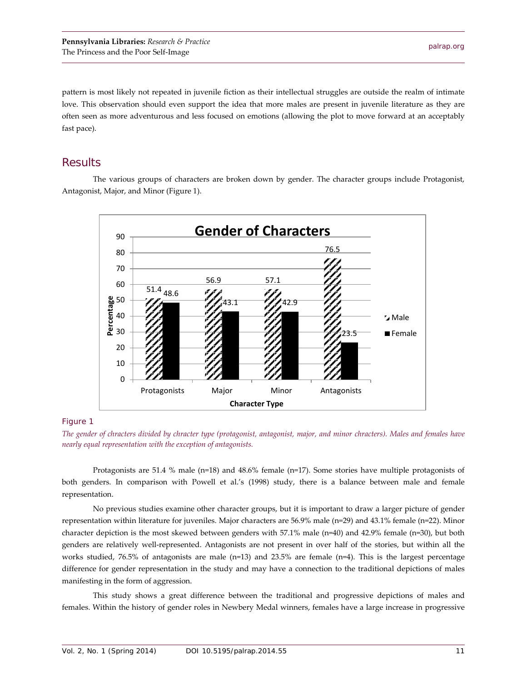pattern is most likely not repeated in juvenile fiction as their intellectual struggles are outside the realm of intimate love. This observation should even support the idea that more males are present in juvenile literature as they are often seen as more adventurous and less focused on emotions (allowing the plot to move forward at an acceptably fast pace).

# **Results**

The various groups of characters are broken down by gender. The character groups include Protagonist, Antagonist, Major, and Minor (Figure 1).



#### Figure 1

*The gender of chracters divided by chracter type (protagonist, antagonist, major, and minor chracters). Males and females have nearly equal representation with the exception of antagonists.*

Protagonists are 51.4 % male ( $n=18$ ) and 48.6% female ( $n=17$ ). Some stories have multiple protagonists of both genders. In comparison with Powell et al.'s (1998) study, there is a balance between male and female representation.

No previous studies examine other character groups, but it is important to draw a larger picture of gender representation within literature for juveniles. Major characters are 56.9% male (n=29) and 43.1% female (n=22). Minor character depiction is the most skewed between genders with 57.1% male (n=40) and 42.9% female (n=30), but both genders are relatively well-represented. Antagonists are not present in over half of the stories, but within all the works studied, 76.5% of antagonists are male (n=13) and 23.5% are female (n=4). This is the largest percentage difference for gender representation in the study and may have a connection to the traditional depictions of males manifesting in the form of aggression.

This study shows a great difference between the traditional and progressive depictions of males and females. Within the history of gender roles in Newbery Medal winners, females have a large increase in progressive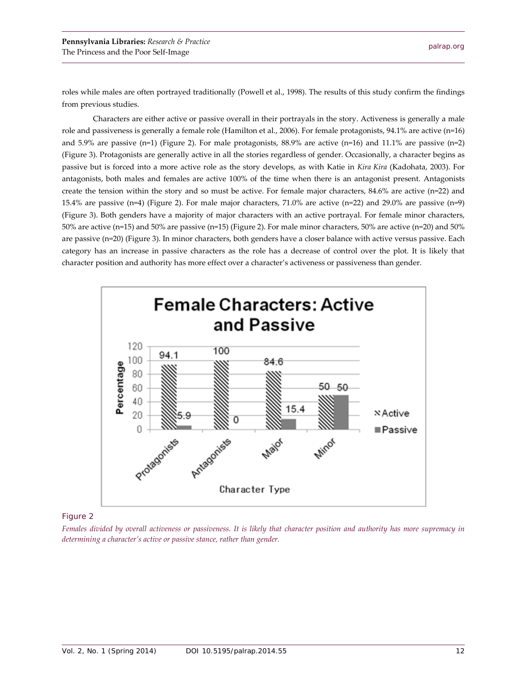roles while males are often portrayed traditionally (Powell et al., 1998). The results of this study confirm the findings from previous studies.

Characters are either active or passive overall in their portrayals in the story. Activeness is generally a male role and passiveness is generally a female role (Hamilton et al., 2006). For female protagonists, 94.1% are active (n=16) and 5.9% are passive (n=1) (Figure 2). For male protagonists,  $88.9\%$  are active (n=16) and 11.1% are passive (n=2) (Figure 3). Protagonists are generally active in all the stories regardless of gender. Occasionally, a character begins as passive but is forced into a more active role as the story develops, as with Katie in *Kira Kira* (Kadohata, 2003). For antagonists, both males and females are active 100% of the time when there is an antagonist present. Antagonists create the tension within the story and so must be active. For female major characters, 84.6% are active (n=22) and 15.4% are passive (n=4) (Figure 2). For male major characters, 71.0% are active (n=22) and 29.0% are passive (n=9) (Figure 3). Both genders have a majority of major characters with an active portrayal. For female minor characters, 50% are active (n=15) and 50% are passive (n=15) (Figure 2). For male minor characters, 50% are active (n=20) and 50% are passive (n=20) (Figure 3). In minor characters, both genders have a closer balance with active versus passive. Each category has an increase in passive characters as the role has a decrease of control over the plot. It is likely that character position and authority has more effect over a character's activeness or passiveness than gender.



#### Figure 2

*Females divided by overall activeness or passiveness. It is likely that character position and authority has more supremacy in determining a character's active or passive stance, rather than gender.*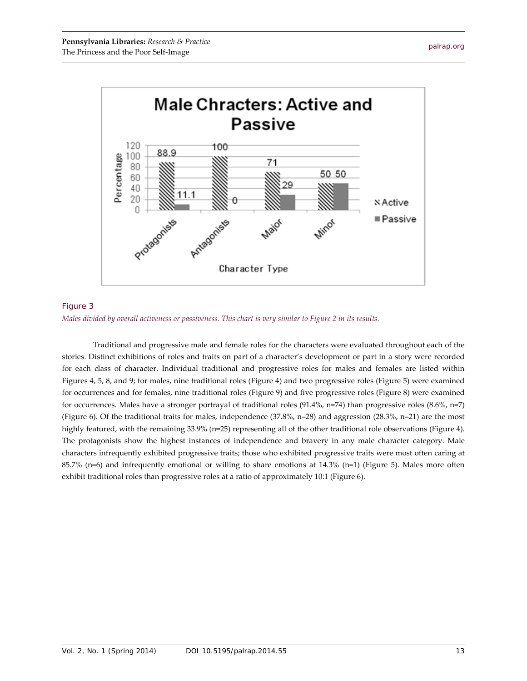



*Males divided by overall activeness or passiveness. This chart is very similar to Figure 2 in its results.*

Traditional and progressive male and female roles for the characters were evaluated throughout each of the stories. Distinct exhibitions of roles and traits on part of a character's development or part in a story were recorded for each class of character. Individual traditional and progressive roles for males and females are listed within Figures 4, 5, 8, and 9; for males, nine traditional roles (Figure 4) and two progressive roles (Figure 5) were examined for occurrences and for females, nine traditional roles (Figure 9) and five progressive roles (Figure 8) were examined for occurrences. Males have a stronger portrayal of traditional roles (91.4%, n=74) than progressive roles (8.6%, n=7) (Figure 6). Of the traditional traits for males, independence  $(37.8\%, n=28)$  and aggression  $(28.3\%, n=21)$  are the most highly featured, with the remaining 33.9% (n=25) representing all of the other traditional role observations (Figure 4). The protagonists show the highest instances of independence and bravery in any male character category. Male characters infrequently exhibited progressive traits; those who exhibited progressive traits were most often caring at 85.7% (n=6) and infrequently emotional or willing to share emotions at 14.3% (n=1) (Figure 5). Males more often exhibit traditional roles than progressive roles at a ratio of approximately 10:1 (Figure 6).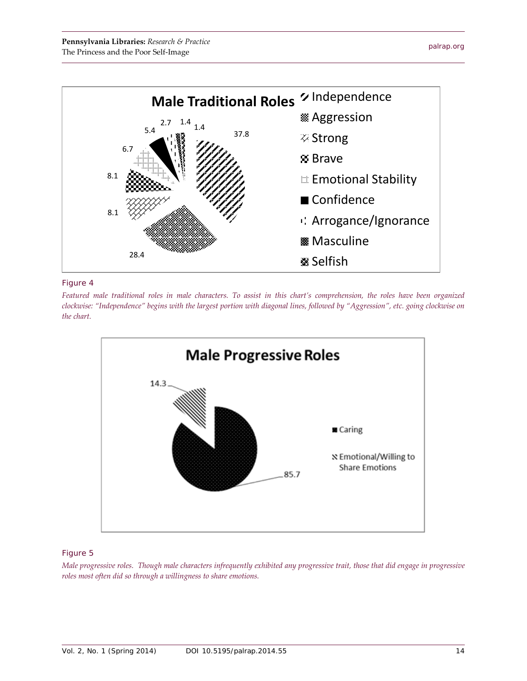

#### Figure 4

*Featured male traditional roles in male characters. To assist in this chart's comprehension, the roles have been organized clockwise: "Independence" begins with the largest portion with diagonal lines, followed by "Aggression", etc. going clockwise on the chart.*



#### Figure 5

*Male progressive roles. Though male characters infrequently exhibited any progressive trait, those that did engage in progressive roles most often did so through a willingness to share emotions.*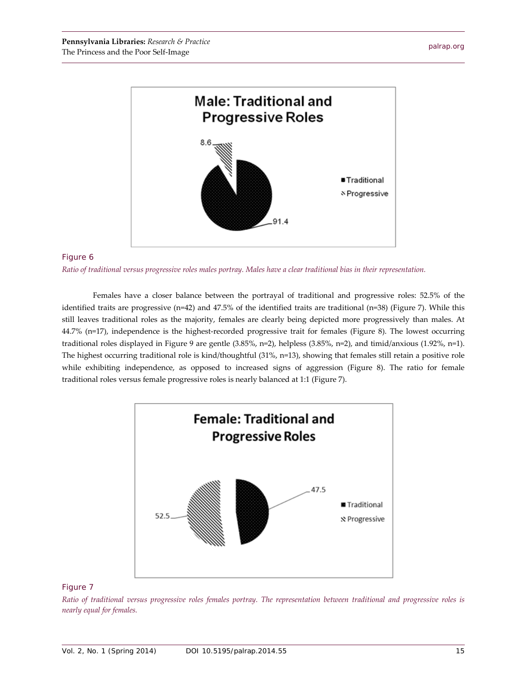

#### Figure 6

*Ratio of traditional versus progressive roles males portray. Males have a clear traditional bias in their representation.*

Females have a closer balance between the portrayal of traditional and progressive roles: 52.5% of the identified traits are progressive (n=42) and 47.5% of the identified traits are traditional (n=38) (Figure 7). While this still leaves traditional roles as the majority, females are clearly being depicted more progressively than males. At 44.7% (n=17), independence is the highest-recorded progressive trait for females (Figure 8). The lowest occurring traditional roles displayed in Figure 9 are gentle (3.85%, n=2), helpless (3.85%, n=2), and timid/anxious (1.92%, n=1). The highest occurring traditional role is kind/thoughtful (31%, n=13), showing that females still retain a positive role while exhibiting independence, as opposed to increased signs of aggression (Figure 8). The ratio for female traditional roles versus female progressive roles is nearly balanced at 1:1 (Figure 7).



#### Figure 7

*Ratio of traditional versus progressive roles females portray. The representation between traditional and progressive roles is nearly equal for females.*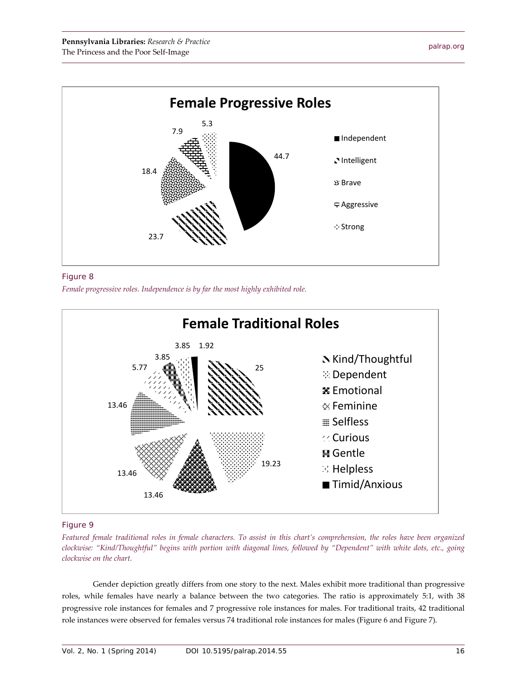



*Female progressive roles. Independence is by far the most highly exhibited role.*



#### Figure 9

*Featured female traditional roles in female characters. To assist in this chart's comprehension, the roles have been organized clockwise: "Kind/Thoughtful" begins with portion with diagonal lines, followed by "Dependent" with white dots, etc., going clockwise on the chart.*

Gender depiction greatly differs from one story to the next. Males exhibit more traditional than progressive roles, while females have nearly a balance between the two categories. The ratio is approximately 5:1, with 38 progressive role instances for females and 7 progressive role instances for males. For traditional traits, 42 traditional role instances were observed for females versus 74 traditional role instances for males (Figure 6 and Figure 7).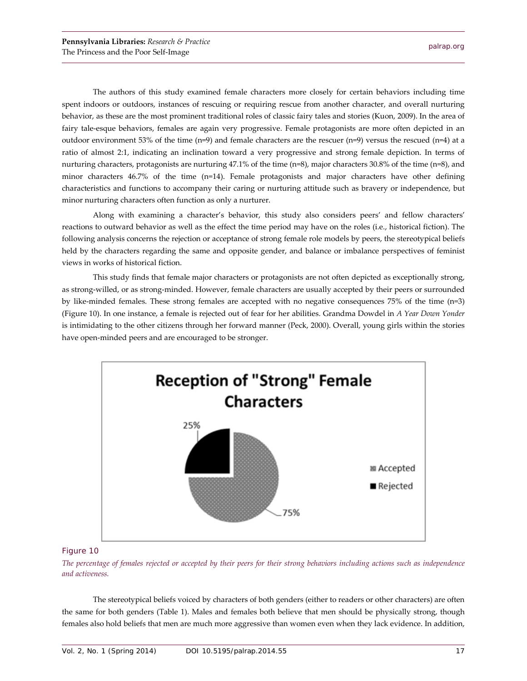The authors of this study examined female characters more closely for certain behaviors including time spent indoors or outdoors, instances of rescuing or requiring rescue from another character, and overall nurturing behavior, as these are the most prominent traditional roles of classic fairy tales and stories (Kuon, 2009). In the area of fairy tale-esque behaviors, females are again very progressive. Female protagonists are more often depicted in an outdoor environment 53% of the time (n=9) and female characters are the rescuer (n=9) versus the rescued (n=4) at a ratio of almost 2:1, indicating an inclination toward a very progressive and strong female depiction. In terms of nurturing characters, protagonists are nurturing 47.1% of the time (n=8), major characters 30.8% of the time (n=8), and minor characters 46.7% of the time (n=14). Female protagonists and major characters have other defining characteristics and functions to accompany their caring or nurturing attitude such as bravery or independence, but minor nurturing characters often function as only a nurturer.

Along with examining a character's behavior, this study also considers peers' and fellow characters' reactions to outward behavior as well as the effect the time period may have on the roles (i.e., historical fiction). The following analysis concerns the rejection or acceptance of strong female role models by peers, the stereotypical beliefs held by the characters regarding the same and opposite gender, and balance or imbalance perspectives of feminist views in works of historical fiction.

This study finds that female major characters or protagonists are not often depicted as exceptionally strong, as strong-willed, or as strong-minded. However, female characters are usually accepted by their peers or surrounded by like-minded females. These strong females are accepted with no negative consequences 75% of the time (n=3) (Figure 10). In one instance, a female is rejected out of fear for her abilities. Grandma Dowdel in *A Year Down Yonder* is intimidating to the other citizens through her forward manner (Peck, 2000). Overall, young girls within the stories have open-minded peers and are encouraged to be stronger.



#### Figure 10

*The percentage of females rejected or accepted by their peers for their strong behaviors including actions such as independence and activeness.*

The stereotypical beliefs voiced by characters of both genders (either to readers or other characters) are often the same for both genders (Table 1). Males and females both believe that men should be physically strong, though females also hold beliefs that men are much more aggressive than women even when they lack evidence. In addition,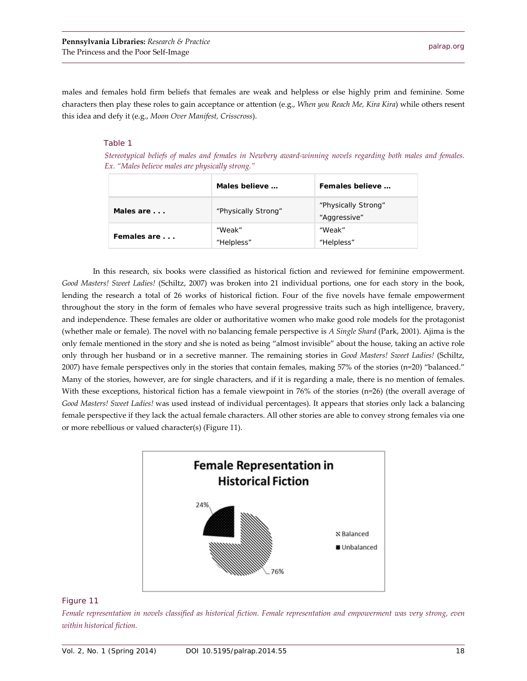males and females hold firm beliefs that females are weak and helpless or else highly prim and feminine. Some characters then play these roles to gain acceptance or attention (e.g., *When you Reach Me, Kira Kira*) while others resent this idea and defy it (e.g., *Moon Over Manifest, Crisscross*).

#### Table 1

 *Stereotypical beliefs of males and females in Newbery award-winning novels regarding both males and females. Ex. "Males believe males are physically strong."*

|             | Males believe        | Females believe                     |
|-------------|----------------------|-------------------------------------|
| Males are   | "Physically Strong"  | "Physically Strong"<br>"Aggressive" |
| Females are | "Weak"<br>"Helpless" | "Weak"<br>"Helpless"                |

In this research, six books were classified as historical fiction and reviewed for feminine empowerment. *Good Masters! Sweet Ladies!* (Schiltz, 2007) was broken into 21 individual portions, one for each story in the book, lending the research a total of 26 works of historical fiction. Four of the five novels have female empowerment throughout the story in the form of females who have several progressive traits such as high intelligence, bravery, and independence. These females are older or authoritative women who make good role models for the protagonist (whether male or female). The novel with no balancing female perspective is *A Single Shard* (Park, 2001). Ajima is the only female mentioned in the story and she is noted as being "almost invisible" about the house, taking an active role only through her husband or in a secretive manner. The remaining stories in *Good Masters! Sweet Ladies!* (Schiltz, 2007) have female perspectives only in the stories that contain females, making 57% of the stories (n=20) "balanced." Many of the stories, however, are for single characters, and if it is regarding a male, there is no mention of females. With these exceptions, historical fiction has a female viewpoint in 76% of the stories (n=26) (the overall average of *Good Masters! Sweet Ladies!* was used instead of individual percentages). It appears that stories only lack a balancing female perspective if they lack the actual female characters. All other stories are able to convey strong females via one or more rebellious or valued character(s) (Figure 11).



#### Figure 11

*Female representation in novels classified as historical fiction. Female representation and empowerment was very strong, even within historical fiction.*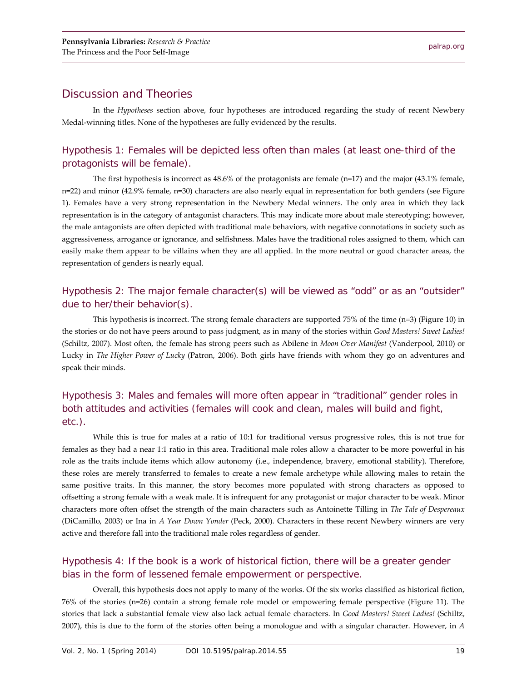# Discussion and Theories

In the *Hypotheses* section above, four hypotheses are introduced regarding the study of recent Newbery Medal-winning titles. None of the hypotheses are fully evidenced by the results.

# Hypothesis 1: Females will be depicted less often than males (at least one-third of the protagonists will be female).

The first hypothesis is incorrect as  $48.6\%$  of the protagonists are female (n=17) and the major (43.1% female, n=22) and minor (42.9% female, n=30) characters are also nearly equal in representation for both genders (see Figure 1). Females have a very strong representation in the Newbery Medal winners. The only area in which they lack representation is in the category of antagonist characters. This may indicate more about male stereotyping; however, the male antagonists are often depicted with traditional male behaviors, with negative connotations in society such as aggressiveness, arrogance or ignorance, and selfishness. Males have the traditional roles assigned to them, which can easily make them appear to be villains when they are all applied. In the more neutral or good character areas, the representation of genders is nearly equal.

# Hypothesis 2: The major female character(s) will be viewed as "odd" or as an "outsider" due to her/their behavior(s).

This hypothesis is incorrect. The strong female characters are supported 75% of the time (n=3) (Figure 10) in the stories or do not have peers around to pass judgment, as in many of the stories within *Good Masters! Sweet Ladies!*  (Schiltz, 2007). Most often, the female has strong peers such as Abilene in *Moon Over Manifest* (Vanderpool, 2010) or Lucky in *The Higher Power of Lucky* (Patron, 2006). Both girls have friends with whom they go on adventures and speak their minds.

# Hypothesis 3: Males and females will more often appear in "traditional" gender roles in both attitudes and activities (females will cook and clean, males will build and fight, etc.).

While this is true for males at a ratio of 10:1 for traditional versus progressive roles, this is not true for females as they had a near 1:1 ratio in this area. Traditional male roles allow a character to be more powerful in his role as the traits include items which allow autonomy (i.e., independence, bravery, emotional stability). Therefore, these roles are merely transferred to females to create a new female archetype while allowing males to retain the same positive traits. In this manner, the story becomes more populated with strong characters as opposed to offsetting a strong female with a weak male. It is infrequent for any protagonist or major character to be weak. Minor characters more often offset the strength of the main characters such as Antoinette Tilling in *The Tale of Despereaux*  (DiCamillo, 2003) or Ina in *A Year Down Yonder* (Peck, 2000). Characters in these recent Newbery winners are very active and therefore fall into the traditional male roles regardless of gender.

# Hypothesis 4: If the book is a work of historical fiction, there will be a greater gender bias in the form of lessened female empowerment or perspective.

Overall, this hypothesis does not apply to many of the works. Of the six works classified as historical fiction, 76% of the stories (n=26) contain a strong female role model or empowering female perspective (Figure 11). The stories that lack a substantial female view also lack actual female characters. In *Good Masters! Sweet Ladies!* (Schiltz, 2007), this is due to the form of the stories often being a monologue and with a singular character. However, in *A*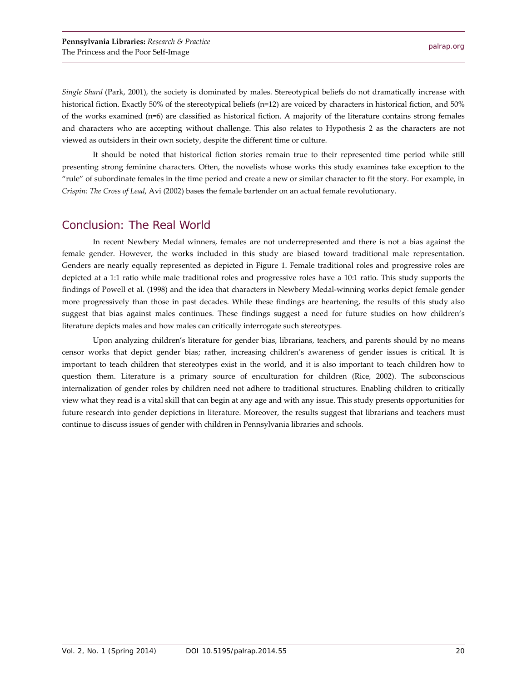*Single Shard* (Park, 2001), the society is dominated by males. Stereotypical beliefs do not dramatically increase with historical fiction. Exactly 50% of the stereotypical beliefs (n=12) are voiced by characters in historical fiction, and 50% of the works examined (n=6) are classified as historical fiction. A majority of the literature contains strong females and characters who are accepting without challenge. This also relates to Hypothesis 2 as the characters are not viewed as outsiders in their own society, despite the different time or culture.

It should be noted that historical fiction stories remain true to their represented time period while still presenting strong feminine characters. Often, the novelists whose works this study examines take exception to the "rule" of subordinate females in the time period and create a new or similar character to fit the story. For example, in *Crispin: The Cross of Lead*, Avi (2002) bases the female bartender on an actual female revolutionary.

## Conclusion: The Real World

In recent Newbery Medal winners, females are not underrepresented and there is not a bias against the female gender. However, the works included in this study are biased toward traditional male representation. Genders are nearly equally represented as depicted in Figure 1. Female traditional roles and progressive roles are depicted at a 1:1 ratio while male traditional roles and progressive roles have a 10:1 ratio. This study supports the findings of Powell et al. (1998) and the idea that characters in Newbery Medal-winning works depict female gender more progressively than those in past decades. While these findings are heartening, the results of this study also suggest that bias against males continues. These findings suggest a need for future studies on how children's literature depicts males and how males can critically interrogate such stereotypes.

Upon analyzing children's literature for gender bias, librarians, teachers, and parents should by no means censor works that depict gender bias; rather, increasing children's awareness of gender issues is critical. It is important to teach children that stereotypes exist in the world, and it is also important to teach children how to question them. Literature is a primary source of enculturation for children (Rice, 2002). The subconscious internalization of gender roles by children need not adhere to traditional structures. Enabling children to critically view what they read is a vital skill that can begin at any age and with any issue. This study presents opportunities for future research into gender depictions in literature. Moreover, the results suggest that librarians and teachers must continue to discuss issues of gender with children in Pennsylvania libraries and schools.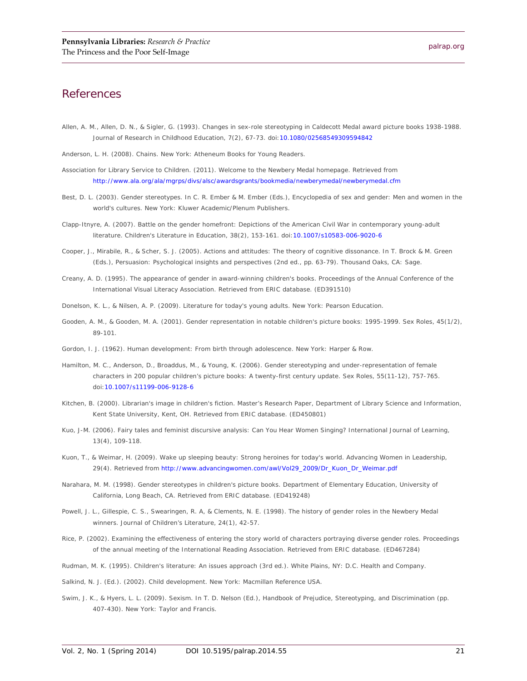## **References**

- Allen, A. M., Allen, D. N., & Sigler, G. (1993). Changes in sex-role stereotyping in Caldecott Medal award picture books 1938-1988. *Journal of Research in Childhood Education*, *7*(2), 67-73. doi[:10.1080/02568549309594842](http://dx.doi.org/10.1080/02568549309594842)
- Anderson, L. H. (2008). *Chains*. New York: Atheneum Books for Young Readers.
- Association for Library Service to Children. (2011). Welcome to the Newbery Medal homepage. Retrieved from <http://www.ala.org/ala/mgrps/divs/alsc/awardsgrants/bookmedia/newberymedal/newberymedal.cfm>
- Best, D. L. (2003). Gender stereotypes. In C. R. Ember & M. Ember (Eds.), *Encyclopedia of sex and gender: Men and women in the world's cultures*. New York: Kluwer Academic/Plenum Publishers.
- Clapp-Itnyre, A. (2007). Battle on the gender homefront: Depictions of the American Civil War in contemporary young-adult literature. *Children's Literature in Education*, *38*(2), 153-161. doi[:10.1007/s10583-006-9020-6](http://dx.doi.org/10.1007/s10583-006-9020-6)
- Cooper, J., Mirabile, R., & Scher, S. J. (2005). Actions and attitudes: The theory of cognitive dissonance. In T. Brock & M. Green (Eds.), *Persuasion: Psychological insights and perspectives* (2nd ed., pp. 63-79). Thousand Oaks, CA: Sage.
- Creany, A. D. (1995). The appearance of gender in award-winning children's books. *Proceedings of the Annual Conference of the International Visual Literacy Association*. Retrieved from ERIC database. (ED391510)
- Donelson, K. L., & Nilsen, A. P. (2009). *Literature for today's young adults*. New York: Pearson Education.
- Gooden, A. M., & Gooden, M. A. (2001). Gender representation in notable children's picture books: 1995-1999. *Sex Roles*, *45*(1/2), 89-101.
- Gordon, I. J. (1962). *Human development: From birth through adolescence*. New York: Harper & Row.
- Hamilton, M. C., Anderson, D., Broaddus, M., & Young, K. (2006). Gender stereotyping and under-representation of female characters in 200 popular children's picture books: A twenty-first century update. *Sex Roles*, *55*(11-12), 757-765. doi[:10.1007/s11199-006-9128-6](http://dx.doi.org/10.1007/s11199-006-9128-6)
- Kitchen, B. (2000). *Librarian's image in children's fiction*. Master's Research Paper, Department of Library Science and Information, Kent State University, Kent, OH. Retrieved from ERIC database. (ED450801)
- Kuo, J-M. (2006). Fairy tales and feminist discursive analysis: Can You Hear Women Singing? *International Journal of Learning*, *13*(4), 109-118.
- Kuon, T., & Weimar, H. (2009). Wake up sleeping beauty: Strong heroines for today's world. *Advancing Women in Leadership*, *29*(4). Retrieved fro[m http://www.advancingwomen.com/awl/Vol29\\_2009/Dr\\_Kuon\\_Dr\\_Weimar.pdf](http://www.advancingwomen.com/awl/Vol29_2009/Dr_Kuon_Dr_Weimar.pdf)
- Narahara, M. M. (1998). *Gender stereotypes in children's picture books*. Department of Elementary Education, University of California, Long Beach, CA. Retrieved from ERIC database. (ED419248)
- Powell, J. L., Gillespie, C. S., Swearingen, R. A, & Clements, N. E. (1998). The history of gender roles in the Newbery Medal winners. *Journal of Children's Literature*, *24*(1), 42-57.
- Rice, P. (2002). Examining the effectiveness of entering the story world of characters portraying diverse gender roles. *Proceedings of the annual meeting of the International Reading Association*. Retrieved from ERIC database. (ED467284)
- Rudman, M. K. (1995). *Children's literature: An issues approach* (3rd ed.). White Plains, NY: D.C. Health and Company.
- Salkind, N. J. (Ed.). (2002). *Child development*. New York: Macmillan Reference USA.
- Swim, J. K., & Hyers, L. L. (2009). Sexism. In T. D. Nelson (Ed.), *Handbook of Prejudice, Stereotyping, and Discrimination* (pp. 407-430). New York: Taylor and Francis.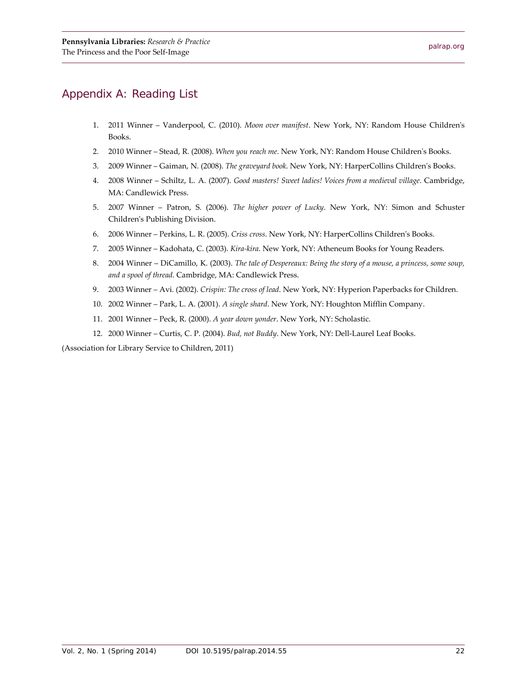# Appendix A: Reading List

- 1. 2011 Winner Vanderpool, C. (2010). *Moon over manifest*. New York, NY: Random House Children's Books.
- 2. 2010 Winner Stead, R. (2008). *When you reach me*. New York, NY: Random House Children's Books.
- 3. 2009 Winner Gaiman, N. (2008). *The graveyard book*. New York, NY: HarperCollins Children's Books.
- 4. 2008 Winner Schiltz, L. A. (2007). *Good masters! Sweet ladies! Voices from a medieval village*. Cambridge, MA: Candlewick Press.
- 5. 2007 Winner Patron, S. (2006). *The higher power of Lucky*. New York, NY: Simon and Schuster Children's Publishing Division.
- 6. 2006 Winner Perkins, L. R. (2005). *Criss cross*. New York, NY: HarperCollins Children's Books.
- 7. 2005 Winner Kadohata, C. (2003). *Kira-kira*. New York, NY: Atheneum Books for Young Readers.
- 8. 2004 Winner DiCamillo, K. (2003). *The tale of Despereaux: Being the story of a mouse, a princess, some soup, and a spool of thread*. Cambridge, MA: Candlewick Press.
- 9. 2003 Winner Avi. (2002). *Crispin: The cross of lead*. New York, NY: Hyperion Paperbacks for Children.
- 10. 2002 Winner Park, L. A. (2001). *A single shard*. New York, NY: Houghton Mifflin Company.
- 11. 2001 Winner Peck, R. (2000). *A year down yonder*. New York, NY: Scholastic.
- 12. 2000 Winner Curtis, C. P. (2004). *Bud, not Buddy*. New York, NY: Dell-Laurel Leaf Books.

(Association for Library Service to Children, 2011)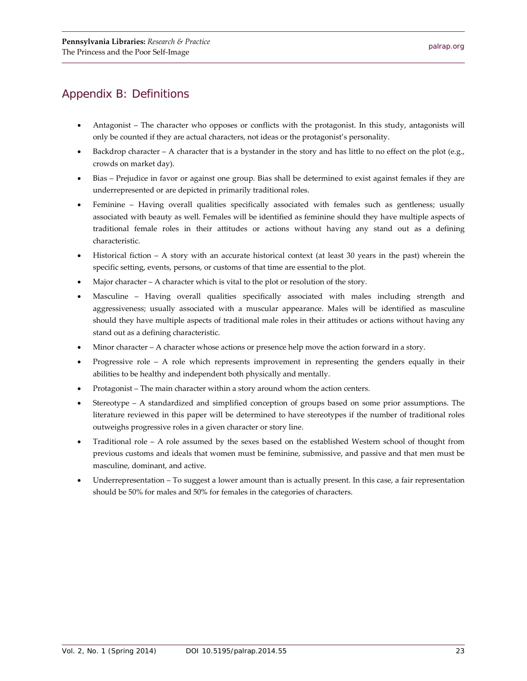# Appendix B: Definitions

- Antagonist The character who opposes or conflicts with the protagonist. In this study, antagonists will only be counted if they are actual characters, not ideas or the protagonist's personality.
- Backdrop character A character that is a bystander in the story and has little to no effect on the plot (e.g., crowds on market day).
- Bias Prejudice in favor or against one group. Bias shall be determined to exist against females if they are underrepresented or are depicted in primarily traditional roles.
- Feminine Having overall qualities specifically associated with females such as gentleness; usually associated with beauty as well. Females will be identified as feminine should they have multiple aspects of traditional female roles in their attitudes or actions without having any stand out as a defining characteristic.
- Historical fiction A story with an accurate historical context (at least 30 years in the past) wherein the specific setting, events, persons, or customs of that time are essential to the plot.
- Major character  $A$  character which is vital to the plot or resolution of the story.
- Masculine Having overall qualities specifically associated with males including strength and aggressiveness; usually associated with a muscular appearance. Males will be identified as masculine should they have multiple aspects of traditional male roles in their attitudes or actions without having any stand out as a defining characteristic.
- Minor character  $A$  character whose actions or presence help move the action forward in a story.
- Progressive role A role which represents improvement in representing the genders equally in their abilities to be healthy and independent both physically and mentally.
- Protagonist The main character within a story around whom the action centers.
- Stereotype A standardized and simplified conception of groups based on some prior assumptions. The literature reviewed in this paper will be determined to have stereotypes if the number of traditional roles outweighs progressive roles in a given character or story line.
- Traditional role A role assumed by the sexes based on the established Western school of thought from previous customs and ideals that women must be feminine, submissive, and passive and that men must be masculine, dominant, and active.
- Underrepresentation To suggest a lower amount than is actually present. In this case, a fair representation should be 50% for males and 50% for females in the categories of characters.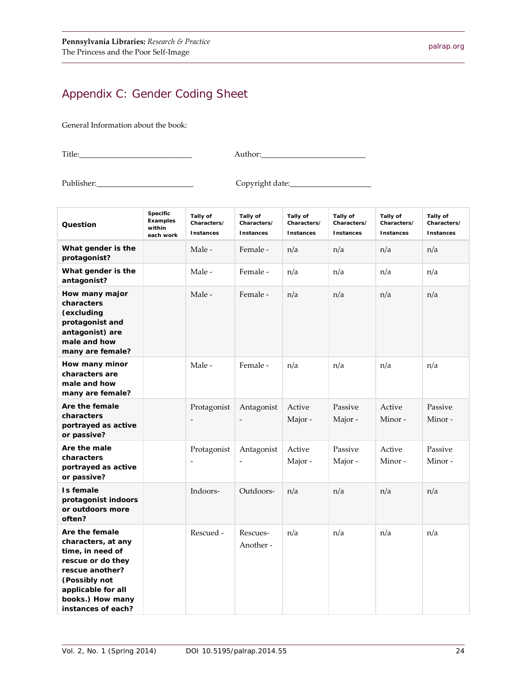# Appendix C: Gender Coding Sheet

General Information about the book:

Title:\_\_\_\_\_\_\_\_\_\_\_\_\_\_\_\_\_\_\_\_\_\_\_\_\_\_\_\_\_ Author:\_\_\_\_\_\_\_\_\_\_\_\_\_\_\_\_\_\_\_\_\_\_\_\_\_\_\_

Publisher:\_\_\_\_\_\_\_\_\_\_\_\_\_\_\_\_\_\_\_\_\_\_\_\_\_ Copyright date:\_\_\_\_\_\_\_\_\_\_\_\_\_\_\_\_\_\_\_\_\_

| Question                                                                                                                                                                          | Specific<br><b>Examples</b><br>within<br>each work | Tally of<br>Characters/<br>Instances    | Tally of<br>Characters/<br>Instances   | Tally of<br>Characters/<br>Instances | Tally of<br>Characters/<br><b>Instances</b> | Tally of<br>Characters/<br>Instances | Tally of<br>Characters/<br><b>Instances</b> |
|-----------------------------------------------------------------------------------------------------------------------------------------------------------------------------------|----------------------------------------------------|-----------------------------------------|----------------------------------------|--------------------------------------|---------------------------------------------|--------------------------------------|---------------------------------------------|
| What gender is the<br>protagonist?                                                                                                                                                |                                                    | Male -                                  | Female -                               | n/a                                  | n/a                                         | n/a                                  | n/a                                         |
| What gender is the<br>antagonist?                                                                                                                                                 |                                                    | Male -                                  | Female -                               | n/a                                  | n/a                                         | n/a                                  | n/a                                         |
| How many major<br>characters<br>(excluding<br>protagonist and<br>antagonist) are<br>male and how<br>many are female?                                                              |                                                    | Male -                                  | Female -                               | n/a                                  | n/a                                         | n/a                                  | n/a                                         |
| How many minor<br>characters are<br>male and how<br>many are female?                                                                                                              |                                                    | Male -                                  | Female -                               | n/a                                  | n/a                                         | n/a                                  | n/a                                         |
| Are the female<br>characters<br>portrayed as active<br>or passive?                                                                                                                |                                                    | Protagonist                             | Antagonist                             | Active<br>Major -                    | Passive<br>Major -                          | Active<br>Minor-                     | Passive<br>Minor-                           |
| Are the male<br>characters<br>portrayed as active<br>or passive?                                                                                                                  |                                                    | Protagonist<br>$\overline{\phantom{a}}$ | Antagonist<br>$\overline{\phantom{a}}$ | Active<br>Major -                    | Passive<br>Major -                          | Active<br>Minor-                     | Passive<br>Minor-                           |
| Is female<br>protagonist indoors<br>or outdoors more<br>often?                                                                                                                    |                                                    | Indoors-                                | Outdoors-                              | n/a                                  | n/a                                         | n/a                                  | n/a                                         |
| Are the female<br>characters, at any<br>time, in need of<br>rescue or do they<br>rescue another?<br>(Possibly not<br>applicable for all<br>books.) How many<br>instances of each? |                                                    | Rescued -                               | Rescues-<br>Another -                  | n/a                                  | n/a                                         | n/a                                  | n/a                                         |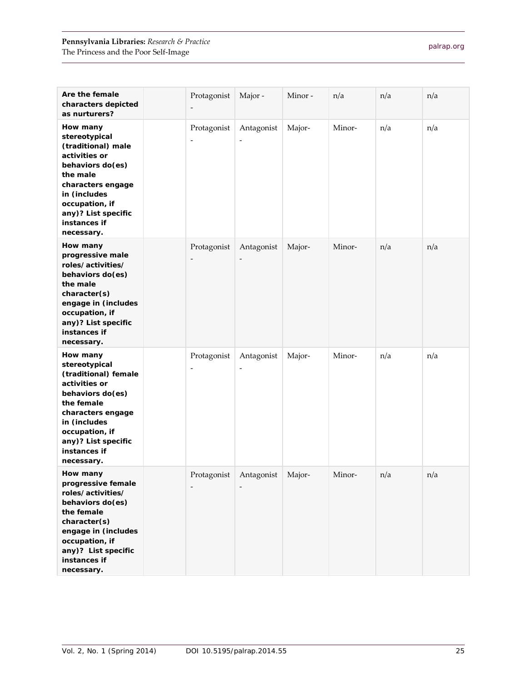| Are the female<br>characters depicted<br>as nurturers?                                                                                                                                                           | Protagonist                             | Major -                                | Minor- | n/a    | n/a | n/a |
|------------------------------------------------------------------------------------------------------------------------------------------------------------------------------------------------------------------|-----------------------------------------|----------------------------------------|--------|--------|-----|-----|
| How many<br>stereotypical<br>(traditional) male<br>activities or<br>behaviors do(es)<br>the male<br>characters engage<br>in (includes<br>occupation, if<br>any)? List specific<br>instances if<br>necessary.     | Protagonist<br>$\overline{\phantom{m}}$ | Antagonist                             | Major- | Minor- | n/a | n/a |
| How many<br>progressive male<br>roles/activities/<br>behaviors do(es)<br>the male<br>character(s)<br>engage in (includes<br>occupation, if<br>any)? List specific<br>instances if<br>necessary.                  | Protagonist<br>$\overline{\phantom{a}}$ | Antagonist                             | Major- | Minor- | n/a | n/a |
| How many<br>stereotypical<br>(traditional) female<br>activities or<br>behaviors do(es)<br>the female<br>characters engage<br>in (includes<br>occupation, if<br>any)? List specific<br>instances if<br>necessary. | Protagonist<br>$\overline{\phantom{a}}$ | Antagonist<br>$\overline{\phantom{0}}$ | Major- | Minor- | n/a | n/a |
| How many<br>progressive female<br>roles/activities/<br>behaviors do(es)<br>the female<br>character(s)<br>engage in (includes<br>occupation, if<br>any)? List specific<br>instances if<br>necessary.              | Protagonist<br>$\overline{\phantom{a}}$ | Antagonist                             | Major- | Minor- | n/a | n/a |